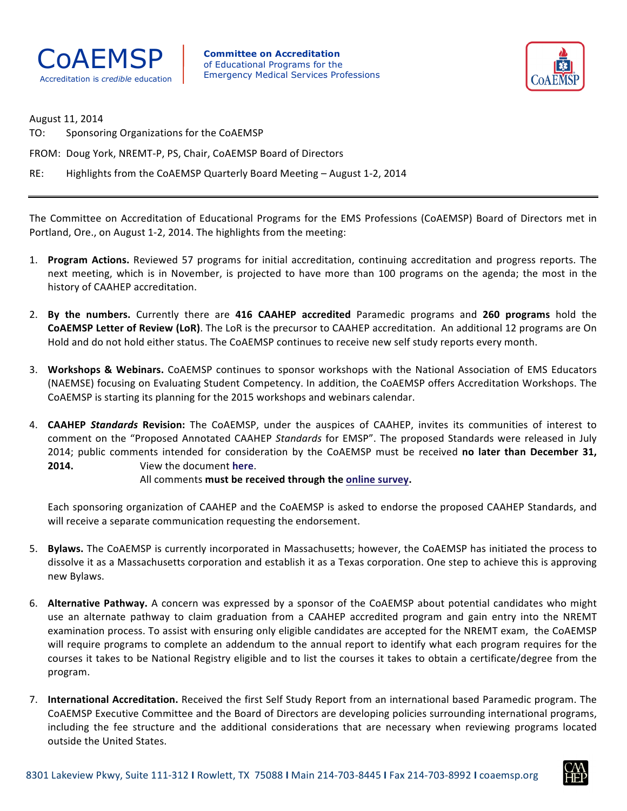

**Committee on Accreditation** of Educational Programs for the Emergency Medical Services Professions Accreditation is *credible* education



August 11, 2014

TO: Sponsoring Organizations for the CoAEMSP

FROM: Doug York, NREMT-P, PS, Chair, CoAEMSP Board of Directors

RE: Highlights from the CoAEMSP Quarterly Board Meeting - August 1-2, 2014

The Committee on Accreditation of Educational Programs for the EMS Professions (CoAEMSP) Board of Directors met in Portland, Ore., on August 1-2, 2014. The highlights from the meeting:

- 1. **Program Actions.** Reviewed 57 programs for initial accreditation, continuing accreditation and progress reports. The next meeting, which is in November, is projected to have more than 100 programs on the agenda; the most in the history of CAAHEP accreditation.
- 2. By the numbers. Currently there are 416 CAAHEP accredited Paramedic programs and 260 programs hold the **COAEMSP Letter of Review (LoR)**. The LoR is the precursor to CAAHEP accreditation. An additional 12 programs are On Hold and do not hold either status. The CoAEMSP continues to receive new self study reports every month.
- 3. Workshops & Webinars. CoAEMSP continues to sponsor workshops with the National Association of EMS Educators (NAEMSE) focusing on Evaluating Student Competency. In addition, the CoAEMSP offers Accreditation Workshops. The CoAEMSP is starting its planning for the 2015 workshops and webinars calendar.
- 4. CAAHEP Standards Revision: The CoAEMSP, under the auspices of CAAHEP, invites its communities of interest to comment on the "Proposed Annotated CAAHEP Standards for EMSP". The proposed Standards were released in July 2014; public comments intended for consideration by the CoAEMSP must be received no later than December 31, **2014.** View the document here.

## All comments must be received through the online survey.

Each sponsoring organization of CAAHEP and the CoAEMSP is asked to endorse the proposed CAAHEP Standards, and will receive a separate communication requesting the endorsement.

- 5. **Bylaws.** The CoAEMSP is currently incorporated in Massachusetts; however, the CoAEMSP has initiated the process to dissolve it as a Massachusetts corporation and establish it as a Texas corporation. One step to achieve this is approving new Bylaws.
- 6. Alternative Pathway. A concern was expressed by a sponsor of the CoAEMSP about potential candidates who might use an alternate pathway to claim graduation from a CAAHEP accredited program and gain entry into the NREMT examination process. To assist with ensuring only eligible candidates are accepted for the NREMT exam, the CoAEMSP will require programs to complete an addendum to the annual report to identify what each program requires for the courses it takes to be National Registry eligible and to list the courses it takes to obtain a certificate/degree from the program.
- 7. **International Accreditation.** Received the first Self Study Report from an international based Paramedic program. The CoAEMSP Executive Committee and the Board of Directors are developing policies surrounding international programs, including the fee structure and the additional considerations that are necessary when reviewing programs located outside the United States.